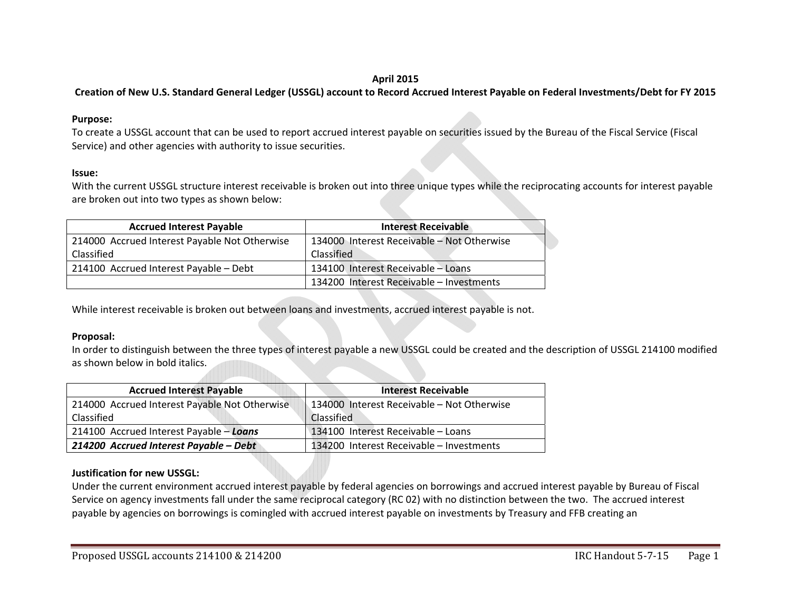### **April 2015**

# Creation of New U.S. Standard General Ledger (USSGL) account to Record Accrued Interest Payable on Federal Investments/Debt for FY 2015

### **Purpose:**

To create <sup>a</sup> USSGL account that can be used to report accrued interest payable on securities issued by the Bureau of the Fiscal Service (Fiscal Service) and other agencies with authority to issue securities.

### **Issue:**

With the current USSGL structure interest receivable is broken out into three unique types while the reciprocating accounts for interest payable are broken out into two types as shown below:

| <b>Accrued Interest Payable</b>               | <b>Interest Receivable</b>                 |
|-----------------------------------------------|--------------------------------------------|
| 214000 Accrued Interest Payable Not Otherwise | 134000 Interest Receivable - Not Otherwise |
| Classified                                    | Classified                                 |
| 214100 Accrued Interest Payable - Debt        | 134100 Interest Receivable - Loans         |
|                                               | 134200 Interest Receivable - Investments   |

While interest receivable is broken out between loans and investments, accrued interest payable is not.

### **Proposal:**

In order to distinguish between the three types of interest payable <sup>a</sup> new USSGL could be created and the description of USSGL 214100 modified as shown below in bold italics.

| <b>Accrued Interest Payable</b>               | <b>Interest Receivable</b>                 |
|-----------------------------------------------|--------------------------------------------|
| 214000 Accrued Interest Payable Not Otherwise | 134000 Interest Receivable - Not Otherwise |
| Classified                                    | <b>Classified</b>                          |
| 214100 Accrued Interest Payable - Loans       | 134100 Interest Receivable - Loans         |
| 214200 Accrued Interest Payable - Debt        | 134200 Interest Receivable - Investments   |

### **Justification for new USSGL:**

Under the current environment accrued interest payable by federal agencies on borrowings and accrued interest payable by Bureau of Fiscal Service on agency investments fall under the same reciprocal category (RC 02) with no distinction between the two. The accrued interest payable by agencies on borrowings is comingled with accrued interest payable on investments by Treasury and FFB creating an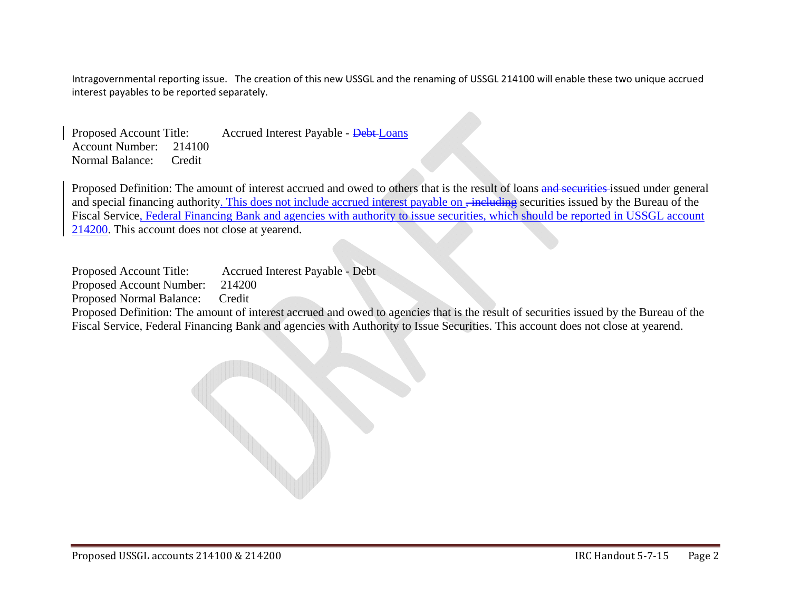Intragovernmental reporting issue. The creation of this new USSGL and the renaming of USSGL 214100 will enable these two unique accrued interest payables to be reported separately.

Proposed Account Title: Accrued Interest Payable - Debt Loans Account Number: 214100 Normal Balance: Credit

Proposed Definition: The amount of interest accrued and owed to others that is the result of loans and securities issued under general and special financing authority. This does not include accrued interest payable on, including securities issued by the Bureau of the Fiscal Service, Federal Financing Bank and agencies with authority to issue securities, which should be reported in USSGL account 214200. This account does not close at yearend.

Proposed Account Title: Accrued Interest Payable - Debt

Proposed Account Number: 214200

Proposed Normal Balance: Credit

Proposed Definition: The amount of interest accrued and owed to agencies that is the result of securities issued by the Bureau of the Fiscal Service, Federal Financing Bank and agencies with Authority to Issue Securities. This account does not close at yearend.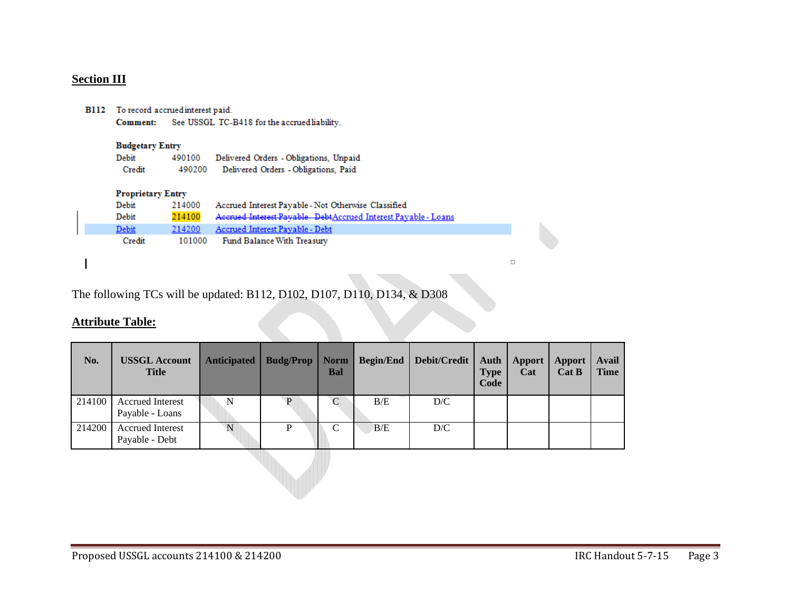### **Section III**

| <b>B112</b> To record accrued interest paid. |                                              |  |  |  |  |  |  |  |  |  |
|----------------------------------------------|----------------------------------------------|--|--|--|--|--|--|--|--|--|
| Comment:                                     | See USSGL TC-B418 for the accrued liability. |  |  |  |  |  |  |  |  |  |

#### **Budgetary Entry**

Debit 490100 Delivered Orders - Obligations, Unpaid Credit 490200 Delivered Orders - Obligations, Paid

### **Proprietary Entry**

| Debit        | 214000 | Accrued Interest Payable - Not Otherwise Classified           |
|--------------|--------|---------------------------------------------------------------|
| <b>Debit</b> | 214100 | Accrued Interest Payable DebtAccrued Interest Payable - Loans |
| Debit        | 214200 | Accrued Interest Payable - Debt                               |
| Credit       | 101000 | Fund Balance With Treasury                                    |

 $\Box$ 

The following TCs will be updated: B112, D102, D107, D110, D134, & D308

#### **Attribute Table:**

| No.    | <b>USSGL Account</b><br><b>Title</b>       | <b>Anticipated</b> | <b>Budg/Prop</b> | <b>Norm</b><br><b>Bal</b> | <b>Begin/End</b> | Debit/Credit | Auth<br><b>Type</b><br>Code | Apport<br>Cat | Apport<br>Cat B | Avail<br><b>Time</b> |
|--------|--------------------------------------------|--------------------|------------------|---------------------------|------------------|--------------|-----------------------------|---------------|-----------------|----------------------|
| 214100 | <b>Accrued Interest</b><br>Payable - Loans | N                  | D                | C                         | B/E              | D/C          |                             |               |                 |                      |
| 214200 | <b>Accrued Interest</b><br>Payable - Debt  | N                  |                  |                           | B/E              | D/C          |                             |               |                 |                      |